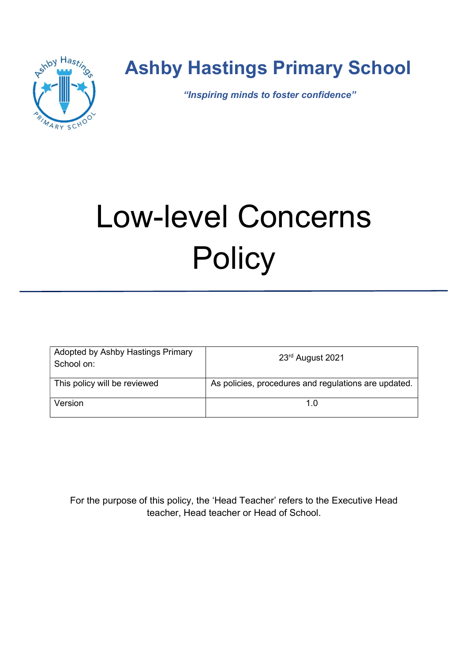

# Ashby Hastings Primary School

"Inspiring minds to foster confidence"

# Low-level Concerns **Policy**

| Adopted by Ashby Hastings Primary<br>School on: | 23 <sup>rd</sup> August 2021                         |
|-------------------------------------------------|------------------------------------------------------|
| This policy will be reviewed                    | As policies, procedures and regulations are updated. |
| Version                                         |                                                      |

For the purpose of this policy, the 'Head Teacher' refers to the Executive Head teacher, Head teacher or Head of School.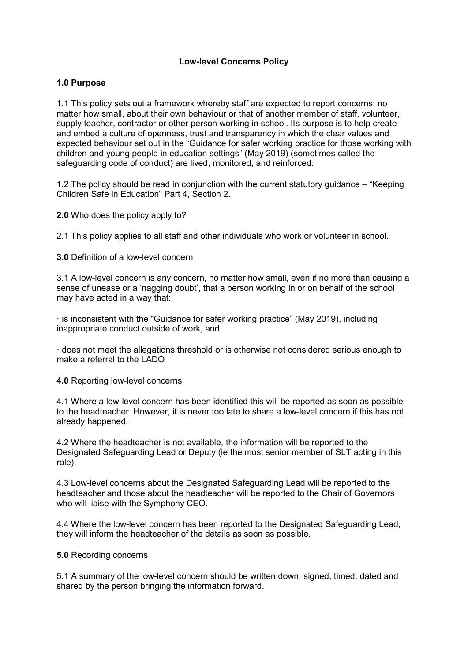## Low-level Concerns Policy

### 1.0 Purpose

1.1 This policy sets out a framework whereby staff are expected to report concerns, no matter how small, about their own behaviour or that of another member of staff, volunteer, supply teacher, contractor or other person working in school. Its purpose is to help create and embed a culture of openness, trust and transparency in which the clear values and expected behaviour set out in the "Guidance for safer working practice for those working with children and young people in education settings" (May 2019) (sometimes called the safeguarding code of conduct) are lived, monitored, and reinforced.

1.2 The policy should be read in conjunction with the current statutory guidance – "Keeping Children Safe in Education" Part 4, Section 2.

2.0 Who does the policy apply to?

2.1 This policy applies to all staff and other individuals who work or volunteer in school.

3.0 Definition of a low-level concern

3.1 A low-level concern is any concern, no matter how small, even if no more than causing a sense of unease or a 'nagging doubt', that a person working in or on behalf of the school may have acted in a way that:

· is inconsistent with the "Guidance for safer working practice" (May 2019), including inappropriate conduct outside of work, and

· does not meet the allegations threshold or is otherwise not considered serious enough to make a referral to the LADO

4.0 Reporting low-level concerns

4.1 Where a low-level concern has been identified this will be reported as soon as possible to the headteacher. However, it is never too late to share a low-level concern if this has not already happened.

4.2 Where the headteacher is not available, the information will be reported to the Designated Safeguarding Lead or Deputy (ie the most senior member of SLT acting in this role).

4.3 Low-level concerns about the Designated Safeguarding Lead will be reported to the headteacher and those about the headteacher will be reported to the Chair of Governors who will liaise with the Symphony CEO.

4.4 Where the low-level concern has been reported to the Designated Safeguarding Lead, they will inform the headteacher of the details as soon as possible.

#### 5.0 Recording concerns

5.1 A summary of the low-level concern should be written down, signed, timed, dated and shared by the person bringing the information forward.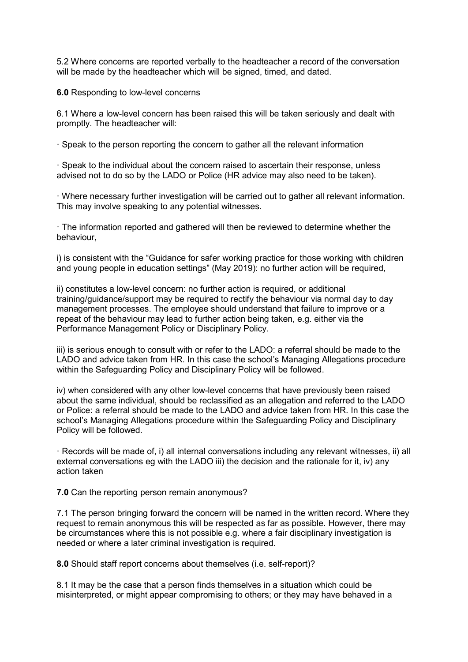5.2 Where concerns are reported verbally to the headteacher a record of the conversation will be made by the headteacher which will be signed, timed, and dated.

6.0 Responding to low-level concerns

6.1 Where a low-level concern has been raised this will be taken seriously and dealt with promptly. The headteacher will:

· Speak to the person reporting the concern to gather all the relevant information

· Speak to the individual about the concern raised to ascertain their response, unless advised not to do so by the LADO or Police (HR advice may also need to be taken).

· Where necessary further investigation will be carried out to gather all relevant information. This may involve speaking to any potential witnesses.

· The information reported and gathered will then be reviewed to determine whether the behaviour,

i) is consistent with the "Guidance for safer working practice for those working with children and young people in education settings" (May 2019): no further action will be required,

ii) constitutes a low-level concern: no further action is required, or additional training/guidance/support may be required to rectify the behaviour via normal day to day management processes. The employee should understand that failure to improve or a repeat of the behaviour may lead to further action being taken, e.g. either via the Performance Management Policy or Disciplinary Policy.

iii) is serious enough to consult with or refer to the LADO: a referral should be made to the LADO and advice taken from HR. In this case the school's Managing Allegations procedure within the Safeguarding Policy and Disciplinary Policy will be followed.

iv) when considered with any other low-level concerns that have previously been raised about the same individual, should be reclassified as an allegation and referred to the LADO or Police: a referral should be made to the LADO and advice taken from HR. In this case the school's Managing Allegations procedure within the Safeguarding Policy and Disciplinary Policy will be followed.

· Records will be made of, i) all internal conversations including any relevant witnesses, ii) all external conversations eg with the LADO iii) the decision and the rationale for it, iv) any action taken

7.0 Can the reporting person remain anonymous?

7.1 The person bringing forward the concern will be named in the written record. Where they request to remain anonymous this will be respected as far as possible. However, there may be circumstances where this is not possible e.g. where a fair disciplinary investigation is needed or where a later criminal investigation is required.

8.0 Should staff report concerns about themselves (i.e. self-report)?

8.1 It may be the case that a person finds themselves in a situation which could be misinterpreted, or might appear compromising to others; or they may have behaved in a